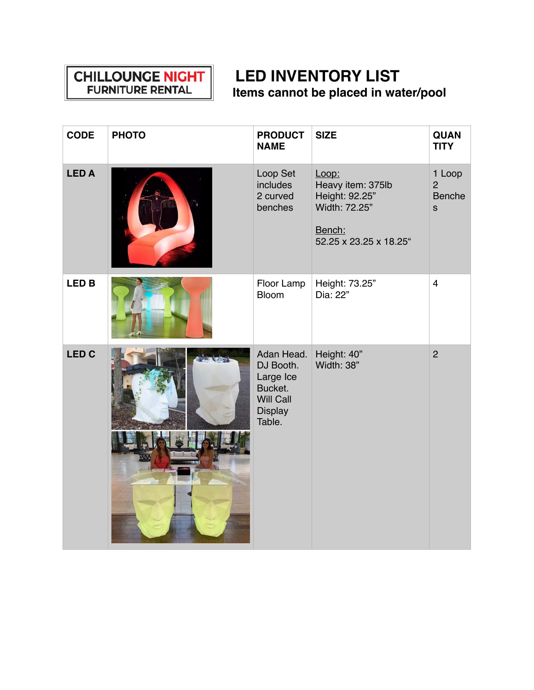## **CHILLOUNGE NIGHT<br>FURNITURE RENTAL**

## **LED INVENTORY LIST Items cannot be placed in water/pool**

| <b>CODE</b>  | <b>PHOTO</b> | <b>PRODUCT</b><br><b>NAME</b>                                                                   | <b>SIZE</b>                                                                                       | <b>QUAN</b><br><b>TITY</b>                                |
|--------------|--------------|-------------------------------------------------------------------------------------------------|---------------------------------------------------------------------------------------------------|-----------------------------------------------------------|
| <b>LEDA</b>  |              | Loop Set<br>includes<br>2 curved<br>benches                                                     | Loop:<br>Heavy item: 375lb<br>Height: 92.25"<br>Width: 72.25"<br>Bench:<br>52.25 x 23.25 x 18.25" | 1 Loop<br>$\overline{2}$<br><b>Benche</b><br>$\mathbf{s}$ |
| <b>LED B</b> |              | Floor Lamp<br><b>Bloom</b>                                                                      | Height: 73.25"<br>Dia: 22"                                                                        | $\overline{4}$                                            |
| <b>LED C</b> |              | Adan Head.<br>DJ Booth.<br>Large Ice<br>Bucket.<br><b>Will Call</b><br><b>Display</b><br>Table. | Height: 40"<br>Width: 38"                                                                         | $\overline{2}$                                            |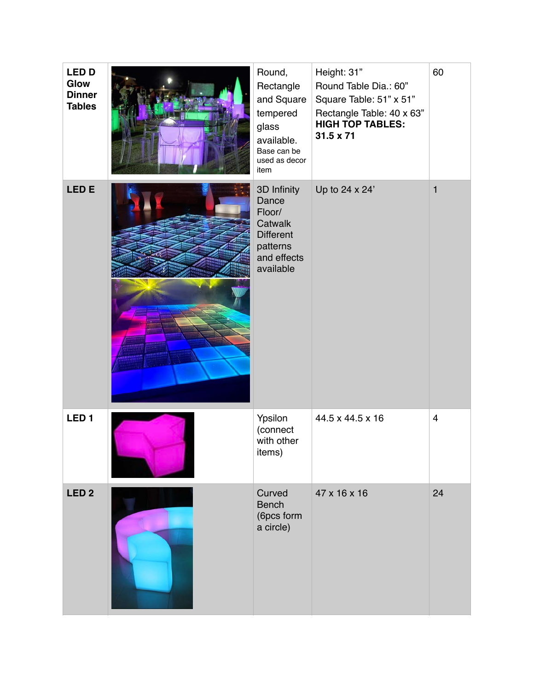| <b>LED D</b><br>Glow<br><b>Dinner</b><br><b>Tables</b> | Round,<br>Rectangle<br>and Square<br>tempered<br>glass<br>available.<br>Base can be<br>used as decor<br>item | Height: 31"<br>Round Table Dia.: 60"<br>Square Table: 51" x 51"<br>Rectangle Table: 40 x 63"<br><b>HIGH TOP TABLES:</b><br>$31.5 \times 71$ | 60             |
|--------------------------------------------------------|--------------------------------------------------------------------------------------------------------------|---------------------------------------------------------------------------------------------------------------------------------------------|----------------|
| LED <sub>E</sub>                                       | 3D Infinity<br>Dance<br>Floor/<br>Catwalk<br><b>Different</b><br>patterns<br>and effects<br>available        | Up to 24 x 24'                                                                                                                              | $\mathbf{1}$   |
| LED <sub>1</sub>                                       | Ypsilon<br>(connect<br>with other<br>items)                                                                  | 44.5 x 44.5 x 16                                                                                                                            | $\overline{4}$ |
| LED <sub>2</sub>                                       | Curved<br><b>Bench</b><br>(6pcs form<br>a circle)                                                            | 47 x 16 x 16                                                                                                                                | 24             |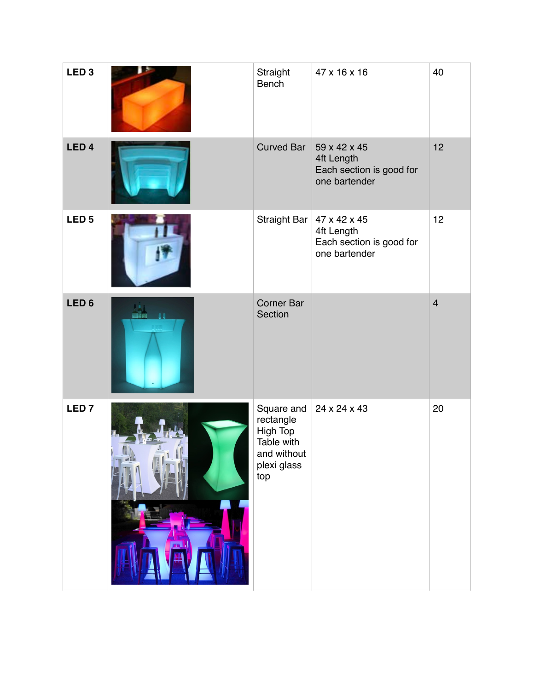| LED <sub>3</sub> | Straight<br><b>Bench</b>                                                               | 47 x 16 x 16                                                                           | 40             |
|------------------|----------------------------------------------------------------------------------------|----------------------------------------------------------------------------------------|----------------|
| LED <sub>4</sub> | <b>Curved Bar</b>                                                                      | 59 x 42 x 45<br>4ft Length<br>Each section is good for<br>one bartender                | 12             |
| LED <sub>5</sub> |                                                                                        | Straight Bar   47 x 42 x 45<br>4ft Length<br>Each section is good for<br>one bartender | 12             |
| LED <sub>6</sub> | <b>Corner Bar</b><br>Section                                                           |                                                                                        | $\overline{4}$ |
| LED <sub>7</sub> | Square and<br>rectangle<br>High Top<br>Table with<br>and without<br>plexi glass<br>top | 24 x 24 x 43                                                                           | 20             |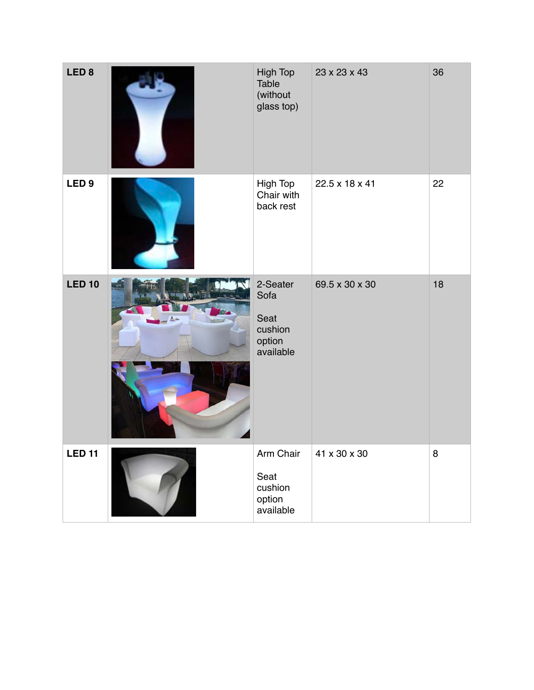| LED <sub>8</sub> | High Top<br>Table<br>(without<br>glass top)                | 23 x 23 x 43   | 36 |
|------------------|------------------------------------------------------------|----------------|----|
| LED <sub>9</sub> | High Top<br>Chair with<br>back rest                        | 22.5 x 18 x 41 | 22 |
| <b>LED 10</b>    | 2-Seater<br>Sofa<br>Seat<br>cushion<br>option<br>available | 69.5 x 30 x 30 | 18 |
| <b>LED 11</b>    | Arm Chair<br>Seat<br>cushion<br>option<br>available        | 41 x 30 x 30   | 8  |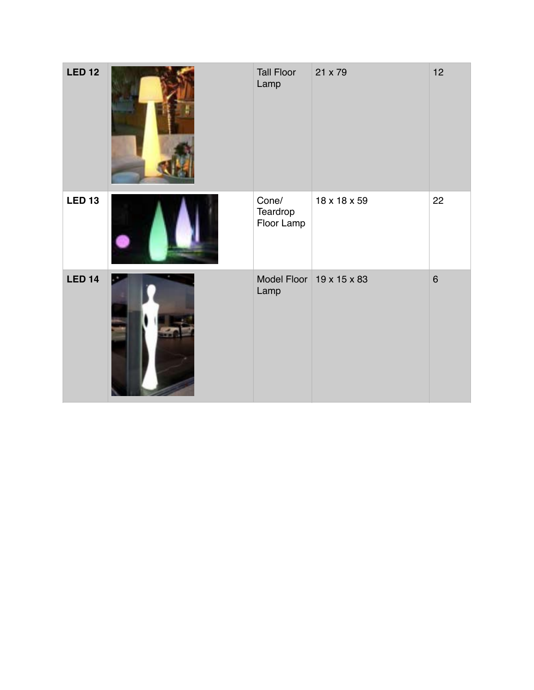| <b>LED 12</b> | <b>Tall Floor</b><br>Lamp       | 21 x 79                  | 12      |
|---------------|---------------------------------|--------------------------|---------|
| <b>LED 13</b> | Cone/<br>Teardrop<br>Floor Lamp | 18 x 18 x 59             | 22      |
| <b>LED 14</b> | Lamp                            | Model Floor 19 x 15 x 83 | $\,6\,$ |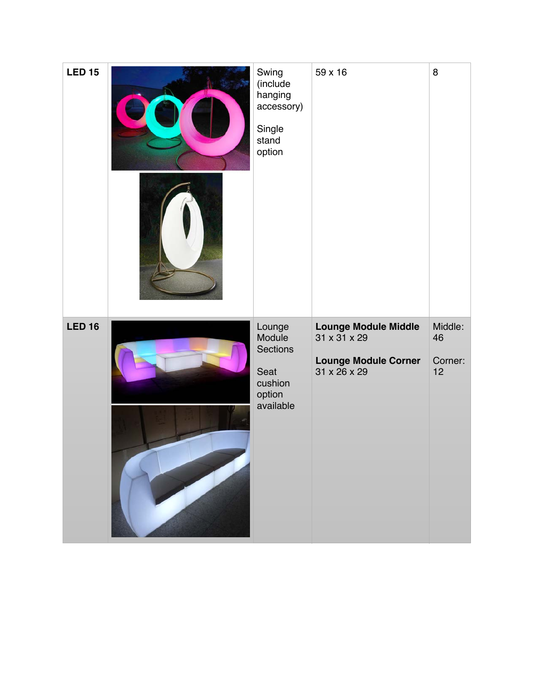| <b>LED 15</b> | Swing<br>(include<br>hanging<br>accessory)<br>Single<br>stand<br>option | 59 x 16                                                                                                                                                                                                                                                                                                                                                                                                   | 8                              |
|---------------|-------------------------------------------------------------------------|-----------------------------------------------------------------------------------------------------------------------------------------------------------------------------------------------------------------------------------------------------------------------------------------------------------------------------------------------------------------------------------------------------------|--------------------------------|
| <b>LED 16</b> | Lounge<br>Module<br>Sections<br>Seat<br>cushion<br>option<br>available  | <b>Lounge Module Middle</b><br>31 x 31 x 29<br><b>Lounge Module Corner</b><br>$31 \times 26 \times 29$<br>the contract of the contract of the contract of the contract of the contract of the contract of<br>the control of the control of the control of the control of the control of the control of<br>the contract of the contract of the contract of the contract of the contract of the contract of | Middle:<br>46<br>Corner:<br>12 |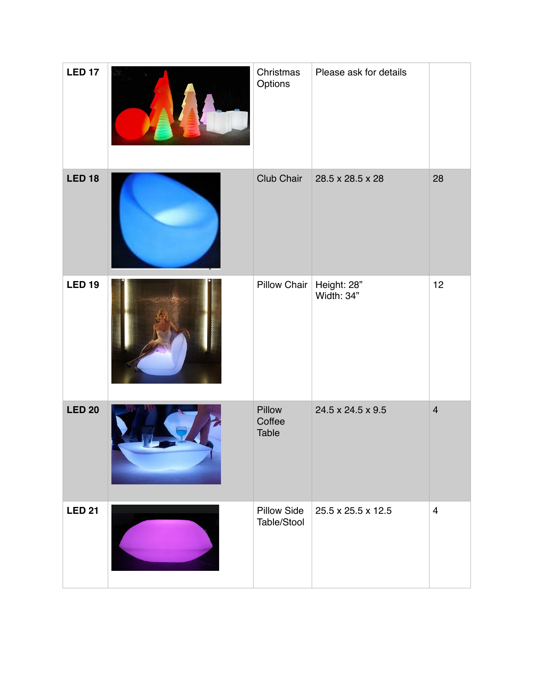| <b>LED 17</b> | Christmas<br>Options              | Please ask for details    |                |
|---------------|-----------------------------------|---------------------------|----------------|
| <b>LED 18</b> | Club Chair                        | 28.5 x 28.5 x 28          | 28             |
| <b>LED 19</b> | <b>Pillow Chair</b>               | Height: 28"<br>Width: 34" | 12             |
| <b>LED 20</b> | Pillow<br>Coffee<br>Table         | 24.5 x 24.5 x 9.5         | $\overline{4}$ |
| <b>LED 21</b> | <b>Pillow Side</b><br>Table/Stool | 25.5 x 25.5 x 12.5        | $\overline{4}$ |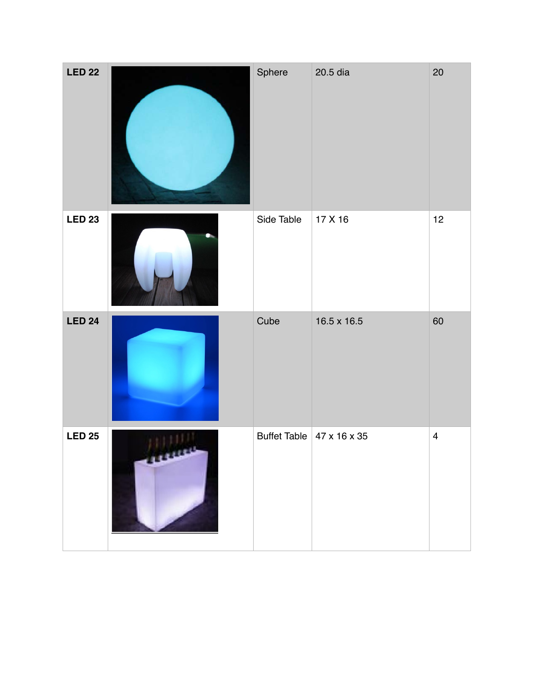| <b>LED 22</b> | Sphere     | 20.5 dia                              | 20                      |
|---------------|------------|---------------------------------------|-------------------------|
| <b>LED 23</b> | Side Table | 17 X 16                               | 12                      |
| <b>LED 24</b> | Cube       | 16.5 x 16.5                           | 60                      |
| <b>LED 25</b> |            | Buffet Table $47 \times 16 \times 35$ | $\overline{\mathbf{4}}$ |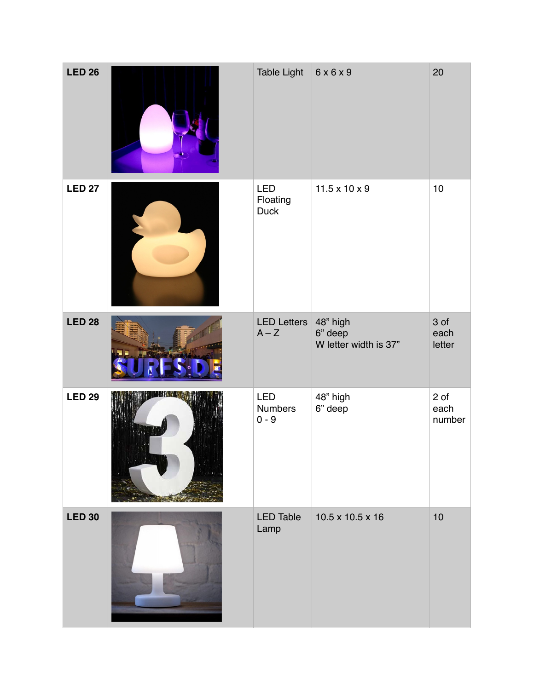| <b>LED 26</b> | Table Light                     | $6x6x9$                          | 20                     |
|---------------|---------------------------------|----------------------------------|------------------------|
| <b>LED 27</b> | LED<br>Floating<br>Duck         | $11.5 \times 10 \times 9$        | $10$                   |
| <b>LED 28</b> | LED Letters 48" high<br>$A - Z$ | 6" deep<br>W letter width is 37" | 3 of<br>each<br>letter |
| <b>LED 29</b> | LED<br>Numbers<br>$0 - 9$       | 48" high<br>6" deep              | 2 of<br>each<br>number |
| <b>LED 30</b> | <b>LED Table</b><br>Lamp        | 10.5 x 10.5 x 16                 | 10                     |